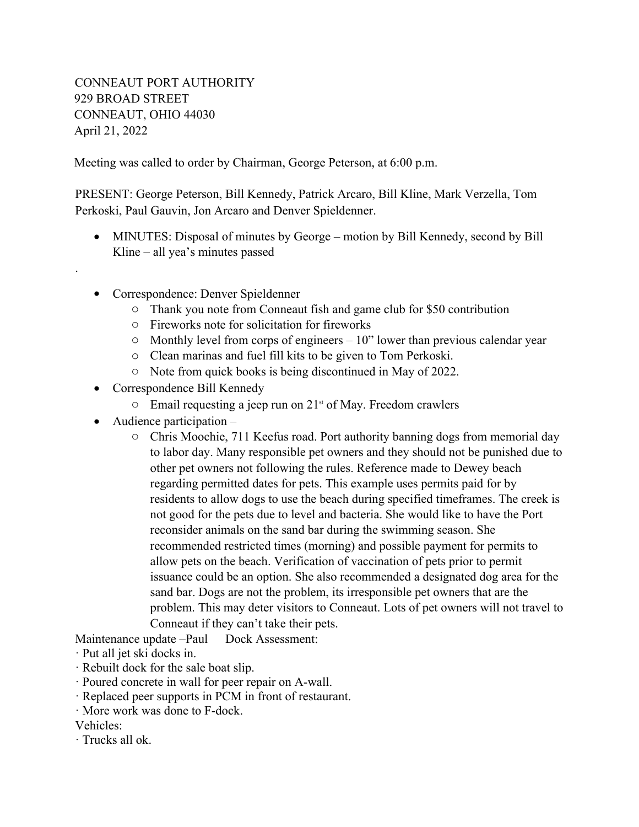## CONNEAUT PORT AUTHORITY 929 BROAD STREET CONNEAUT, OHIO 44030 April 21, 2022

Meeting was called to order by Chairman, George Peterson, at 6:00 p.m.

PRESENT: George Peterson, Bill Kennedy, Patrick Arcaro, Bill Kline, Mark Verzella, Tom Perkoski, Paul Gauvin, Jon Arcaro and Denver Spieldenner.

- MINUTES: Disposal of minutes by George motion by Bill Kennedy, second by Bill Kline – all yea's minutes passed
- Correspondence: Denver Spieldenner
	- o Thank you note from Conneaut fish and game club for \$50 contribution
	- o Fireworks note for solicitation for fireworks
	- $\circ$  Monthly level from corps of engineers 10" lower than previous calendar year
	- o Clean marinas and fuel fill kits to be given to Tom Perkoski.
	- o Note from quick books is being discontinued in May of 2022.
- Correspondence Bill Kennedy
	- $\circ$  Email requesting a jeep run on 21<sup>st</sup> of May. Freedom crawlers
- Audience participation –

.

o Chris Moochie, 711 Keefus road. Port authority banning dogs from memorial day to labor day. Many responsible pet owners and they should not be punished due to other pet owners not following the rules. Reference made to Dewey beach regarding permitted dates for pets. This example uses permits paid for by residents to allow dogs to use the beach during specified timeframes. The creek is not good for the pets due to level and bacteria. She would like to have the Port reconsider animals on the sand bar during the swimming season. She recommended restricted times (morning) and possible payment for permits to allow pets on the beach. Verification of vaccination of pets prior to permit issuance could be an option. She also recommended a designated dog area for the sand bar. Dogs are not the problem, its irresponsible pet owners that are the problem. This may deter visitors to Conneaut. Lots of pet owners will not travel to Conneaut if they can't take their pets.

Maintenance update –Paul Dock Assessment:

- · Put all jet ski docks in.
- · Rebuilt dock for the sale boat slip.
- · Poured concrete in wall for peer repair on A-wall.
- · Replaced peer supports in PCM in front of restaurant.
- · More work was done to F-dock.

Vehicles:

· Trucks all ok.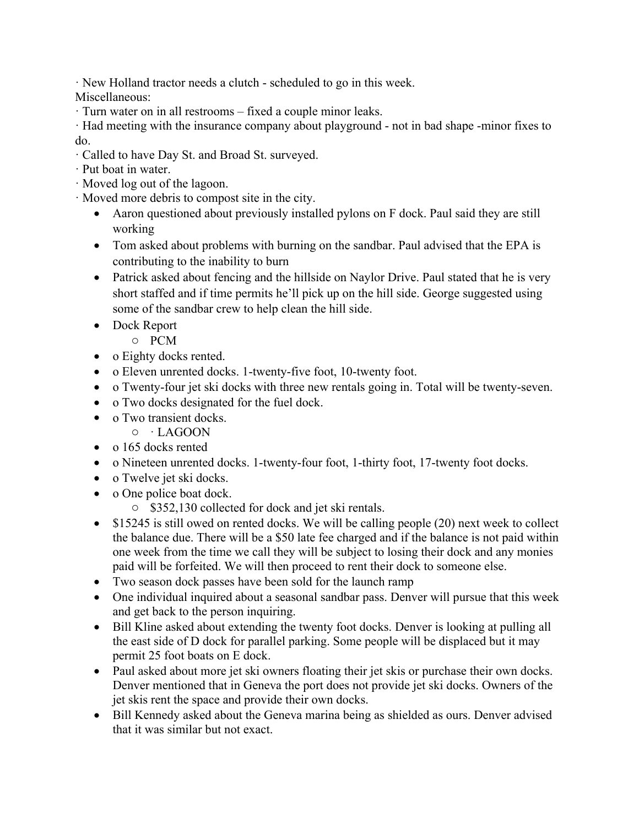· New Holland tractor needs a clutch - scheduled to go in this week.

Miscellaneous:

· Turn water on in all restrooms – fixed a couple minor leaks.

· Had meeting with the insurance company about playground - not in bad shape -minor fixes to do.

- · Called to have Day St. and Broad St. surveyed.
- · Put boat in water.
- · Moved log out of the lagoon.
- · Moved more debris to compost site in the city.
	- Aaron questioned about previously installed pylons on F dock. Paul said they are still working
	- Tom asked about problems with burning on the sandbar. Paul advised that the EPA is contributing to the inability to burn
	- Patrick asked about fencing and the hillside on Naylor Drive. Paul stated that he is very short staffed and if time permits he'll pick up on the hill side. George suggested using some of the sandbar crew to help clean the hill side.
	- Dock Report
		- o PCM
	- o Eighty docks rented.
	- o Eleven unrented docks. 1-twenty-five foot, 10-twenty foot.
	- o Twenty-four jet ski docks with three new rentals going in. Total will be twenty-seven.
	- o Two docks designated for the fuel dock.
	- o Two transient docks.
		- o · LAGOON
	- o 165 docks rented
	- o Nineteen unrented docks. 1-twenty-four foot, 1-thirty foot, 17-twenty foot docks.
	- o Twelve jet ski docks.
	- o One police boat dock.
		- o \$352,130 collected for dock and jet ski rentals.
	- $\bullet$  \$15245 is still owed on rented docks. We will be calling people (20) next week to collect the balance due. There will be a \$50 late fee charged and if the balance is not paid within one week from the time we call they will be subject to losing their dock and any monies paid will be forfeited. We will then proceed to rent their dock to someone else.
	- Two season dock passes have been sold for the launch ramp
	- One individual inquired about a seasonal sandbar pass. Denver will pursue that this week and get back to the person inquiring.
	- Bill Kline asked about extending the twenty foot docks. Denver is looking at pulling all the east side of D dock for parallel parking. Some people will be displaced but it may permit 25 foot boats on E dock.
	- Paul asked about more jet ski owners floating their jet skis or purchase their own docks. Denver mentioned that in Geneva the port does not provide jet ski docks. Owners of the jet skis rent the space and provide their own docks.
	- Bill Kennedy asked about the Geneva marina being as shielded as ours. Denver advised that it was similar but not exact.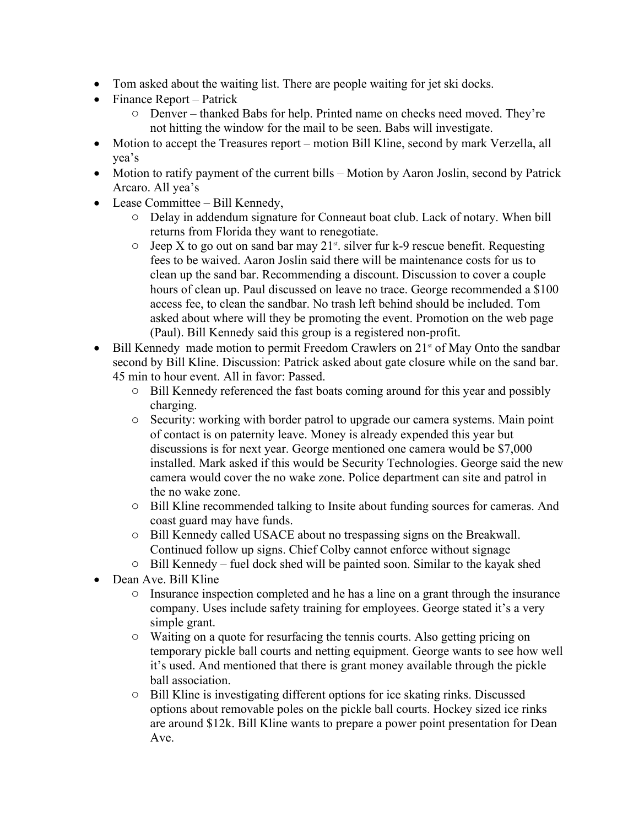- Tom asked about the waiting list. There are people waiting for jet ski docks.
- $\bullet$  Finance Report Patrick
	- o Denver thanked Babs for help. Printed name on checks need moved. They're not hitting the window for the mail to be seen. Babs will investigate.
- Motion to accept the Treasures report motion Bill Kline, second by mark Verzella, all yea's
- Motion to ratify payment of the current bills Motion by Aaron Joslin, second by Patrick Arcaro. All yea's
- Lease Committee Bill Kennedy,
	- o Delay in addendum signature for Conneaut boat club. Lack of notary. When bill returns from Florida they want to renegotiate.
	- $\circ$  Jeep X to go out on sand bar may 21<sup>st</sup>. silver fur k-9 rescue benefit. Requesting fees to be waived. Aaron Joslin said there will be maintenance costs for us to clean up the sand bar. Recommending a discount. Discussion to cover a couple hours of clean up. Paul discussed on leave no trace. George recommended a \$100 access fee, to clean the sandbar. No trash left behind should be included. Tom asked about where will they be promoting the event. Promotion on the web page (Paul). Bill Kennedy said this group is a registered non-profit.
- $\bullet$  Bill Kennedy made motion to permit Freedom Crawlers on 21<sup>st</sup> of May Onto the sandbar second by Bill Kline. Discussion: Patrick asked about gate closure while on the sand bar. 45 min to hour event. All in favor: Passed.
	- o Bill Kennedy referenced the fast boats coming around for this year and possibly charging.
	- o Security: working with border patrol to upgrade our camera systems. Main point of contact is on paternity leave. Money is already expended this year but discussions is for next year. George mentioned one camera would be \$7,000 installed. Mark asked if this would be Security Technologies. George said the new camera would cover the no wake zone. Police department can site and patrol in the no wake zone.
	- o Bill Kline recommended talking to Insite about funding sources for cameras. And coast guard may have funds.
	- o Bill Kennedy called USACE about no trespassing signs on the Breakwall. Continued follow up signs. Chief Colby cannot enforce without signage
	- o Bill Kennedy fuel dock shed will be painted soon. Similar to the kayak shed
- Dean Ave. Bill Kline
	- o Insurance inspection completed and he has a line on a grant through the insurance company. Uses include safety training for employees. George stated it's a very simple grant.
	- o Waiting on a quote for resurfacing the tennis courts. Also getting pricing on temporary pickle ball courts and netting equipment. George wants to see how well it's used. And mentioned that there is grant money available through the pickle ball association.
	- o Bill Kline is investigating different options for ice skating rinks. Discussed options about removable poles on the pickle ball courts. Hockey sized ice rinks are around \$12k. Bill Kline wants to prepare a power point presentation for Dean Ave.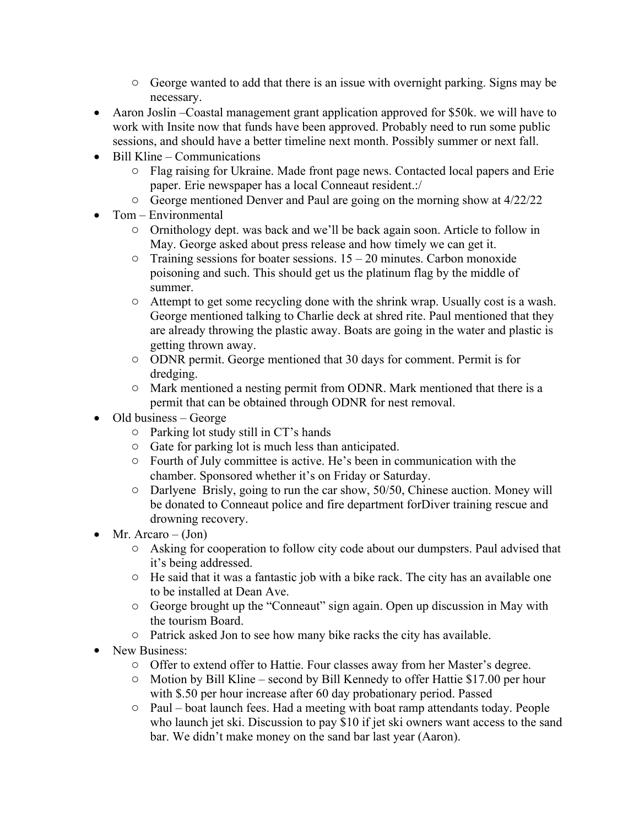- o George wanted to add that there is an issue with overnight parking. Signs may be necessary.
- Aaron Joslin –Coastal management grant application approved for \$50k. we will have to work with Insite now that funds have been approved. Probably need to run some public sessions, and should have a better timeline next month. Possibly summer or next fall.
- $\bullet$  Bill Kline Communications
	- o Flag raising for Ukraine. Made front page news. Contacted local papers and Erie paper. Erie newspaper has a local Conneaut resident.:/
	- o George mentioned Denver and Paul are going on the morning show at 4/22/22
- Tom Environmental
	- o Ornithology dept. was back and we'll be back again soon. Article to follow in May. George asked about press release and how timely we can get it.
	- $\circ$  Training sessions for boater sessions. 15 20 minutes. Carbon monoxide poisoning and such. This should get us the platinum flag by the middle of summer.
	- o Attempt to get some recycling done with the shrink wrap. Usually cost is a wash. George mentioned talking to Charlie deck at shred rite. Paul mentioned that they are already throwing the plastic away. Boats are going in the water and plastic is getting thrown away.
	- o ODNR permit. George mentioned that 30 days for comment. Permit is for dredging.
	- o Mark mentioned a nesting permit from ODNR. Mark mentioned that there is a permit that can be obtained through ODNR for nest removal.
- $\bullet$  Old business George
	- o Parking lot study still in CT's hands
	- o Gate for parking lot is much less than anticipated.
	- o Fourth of July committee is active. He's been in communication with the chamber. Sponsored whether it's on Friday or Saturday.
	- o Darlyene Brisly, going to run the car show, 50/50, Chinese auction. Money will be donated to Conneaut police and fire department forDiver training rescue and drowning recovery.
- $\bullet$  Mr. Arcaro (Jon)
	- o Asking for cooperation to follow city code about our dumpsters. Paul advised that it's being addressed.
	- o He said that it was a fantastic job with a bike rack. The city has an available one to be installed at Dean Ave.
	- o George brought up the "Conneaut" sign again. Open up discussion in May with the tourism Board.
	- o Patrick asked Jon to see how many bike racks the city has available.
- New Business:
	- o Offer to extend offer to Hattie. Four classes away from her Master's degree.
	- o Motion by Bill Kline second by Bill Kennedy to offer Hattie \$17.00 per hour with \$.50 per hour increase after 60 day probationary period. Passed
	- o Paul boat launch fees. Had a meeting with boat ramp attendants today. People who launch jet ski. Discussion to pay \$10 if jet ski owners want access to the sand bar. We didn't make money on the sand bar last year (Aaron).